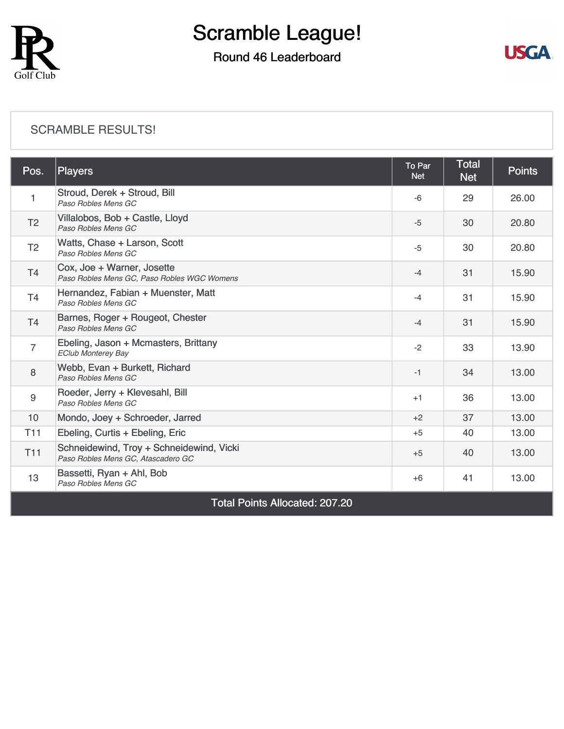

### Round 46 Leaderboard



#### [SCRAMBLE RESULTS!](https://cdn2.golfgenius.com/v2tournaments/8204894516642103085?called_from=&round_index=46)

| Pos.                                  | <b>Players</b>                                                                 | To Par<br><b>Net</b> | <b>Total</b><br><b>Net</b> | <b>Points</b> |  |  |
|---------------------------------------|--------------------------------------------------------------------------------|----------------------|----------------------------|---------------|--|--|
|                                       | Stroud, Derek + Stroud, Bill<br>Paso Robles Mens GC                            | $-6$                 | 29                         | 26.00         |  |  |
| T <sub>2</sub>                        | Villalobos, Bob + Castle, Lloyd<br>Paso Robles Mens GC                         | $-5$                 | 30                         | 20.80         |  |  |
| T <sub>2</sub>                        | Watts, Chase + Larson, Scott<br>Paso Robles Mens GC                            | $-5$                 | 30                         | 20.80         |  |  |
| T <sub>4</sub>                        | Cox, Joe + Warner, Josette<br>Paso Robles Mens GC, Paso Robles WGC Womens      | $-4$                 | 31                         | 15.90         |  |  |
| T4                                    | Hernandez, Fabian + Muenster, Matt<br>Paso Robles Mens GC                      | $-4$                 | 31                         | 15.90         |  |  |
| T <sub>4</sub>                        | Barnes, Roger + Rougeot, Chester<br>Paso Robles Mens GC                        | $-4$                 | 31                         | 15.90         |  |  |
| $\overline{7}$                        | Ebeling, Jason + Mcmasters, Brittany<br><b>EClub Monterey Bay</b>              | $-2$                 | 33                         | 13.90         |  |  |
| 8                                     | Webb, Evan + Burkett, Richard<br>Paso Robles Mens GC                           | $-1$                 | 34                         | 13.00         |  |  |
| 9                                     | Roeder, Jerry + Klevesahl, Bill<br>Paso Robles Mens GC                         | $+1$                 | 36                         | 13.00         |  |  |
| 10                                    | Mondo, Joey + Schroeder, Jarred                                                | $+2$                 | 37                         | 13.00         |  |  |
| T <sub>11</sub>                       | Ebeling, Curtis + Ebeling, Eric                                                | $+5$                 | 40                         | 13.00         |  |  |
| <b>T11</b>                            | Schneidewind, Troy + Schneidewind, Vicki<br>Paso Robles Mens GC, Atascadero GC | $+5$                 | 40                         | 13.00         |  |  |
| 13                                    | Bassetti, Ryan + Ahl, Bob<br>Paso Robles Mens GC                               | $+6$                 | 41                         | 13.00         |  |  |
| <b>Total Points Allocated: 207.20</b> |                                                                                |                      |                            |               |  |  |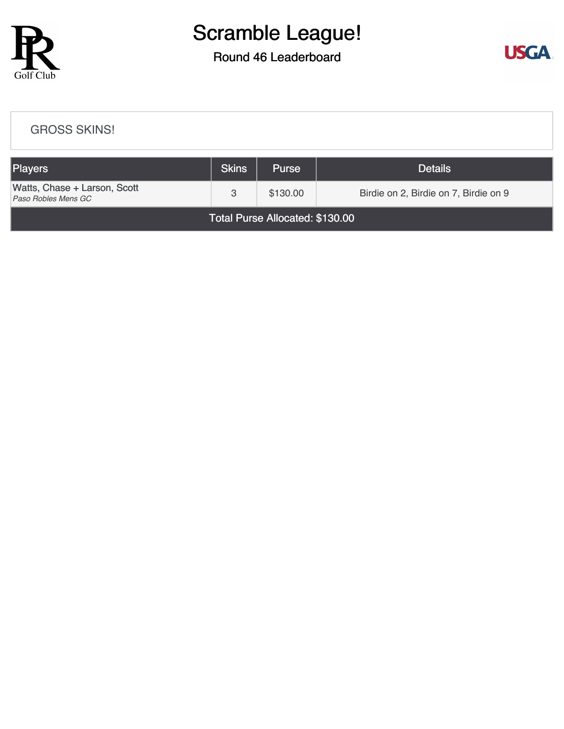

#### Round 46 Leaderboard



## [GROSS SKINS!](https://cdn2.golfgenius.com/v2tournaments/8204916490701422382?called_from=&round_index=46) Players Share Communication of the Skins Purse Purse Details [Watts, Chase + Larson, Scott](https://cdn2.golfgenius.com/tournaments2/details/8205447956430634908)<br>Paso Robles Mens GC **Part Accord 7 & 130.00** Birdie on 2, Birdie on 7, Birdie on 9 Total Purse Allocated: \$130.00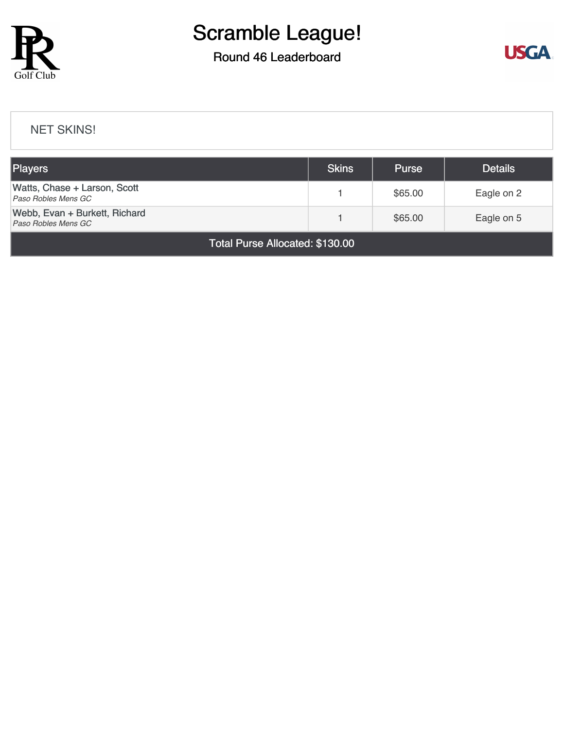

### Round 46 Leaderboard



#### [NET SKINS!](https://cdn2.golfgenius.com/v2tournaments/8204955405051281199?called_from=&round_index=46)

| <b>Players</b>                                       | <b>Skins</b> | <b>Purse</b> | <b>Details</b> |  |  |  |
|------------------------------------------------------|--------------|--------------|----------------|--|--|--|
| Watts, Chase + Larson, Scott<br>Paso Robles Mens GC  |              | \$65.00      | Eagle on 2     |  |  |  |
| Webb, Evan + Burkett, Richard<br>Paso Robles Mens GC |              | \$65.00      | Eagle on 5     |  |  |  |
| Total Purse Allocated: \$130.00                      |              |              |                |  |  |  |